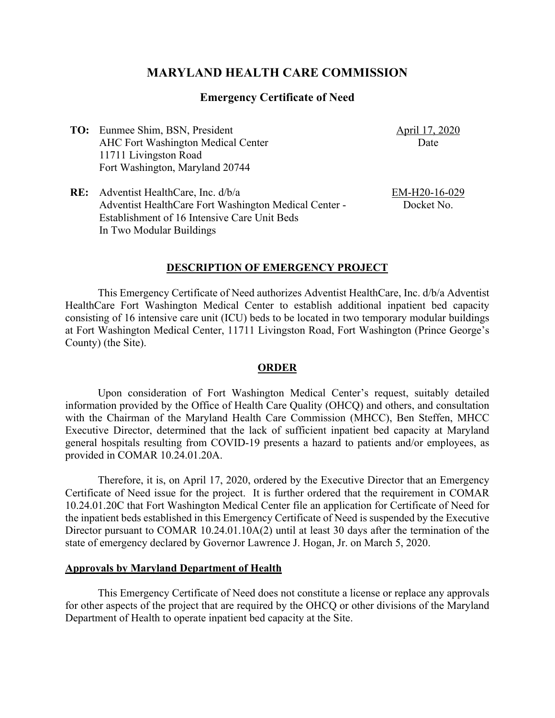# **MARYLAND HEALTH CARE COMMISSION**

### **Emergency Certificate of Need**

**TO:** Eunmee Shim, BSN, President AHC Fort Washington Medical Center 11711 Livingston Road Fort Washington, Maryland 20744

April 17, 2020 Date

**RE:** Adventist HealthCare, Inc. d/b/a Adventist HealthCare Fort Washington Medical Center - Establishment of 16 Intensive Care Unit Beds In Two Modular Buildings

EM-H20-16-029 Docket No.

#### **DESCRIPTION OF EMERGENCY PROJECT**

This Emergency Certificate of Need authorizes Adventist HealthCare, Inc. d/b/a Adventist HealthCare Fort Washington Medical Center to establish additional inpatient bed capacity consisting of 16 intensive care unit (ICU) beds to be located in two temporary modular buildings at Fort Washington Medical Center, 11711 Livingston Road, Fort Washington (Prince George's County) (the Site).

#### **ORDER**

Upon consideration of Fort Washington Medical Center's request, suitably detailed information provided by the Office of Health Care Quality (OHCQ) and others, and consultation with the Chairman of the Maryland Health Care Commission (MHCC), Ben Steffen, MHCC Executive Director, determined that the lack of sufficient inpatient bed capacity at Maryland general hospitals resulting from COVID-19 presents a hazard to patients and/or employees, as provided in COMAR 10.24.01.20A.

Therefore, it is, on April 17, 2020, ordered by the Executive Director that an Emergency Certificate of Need issue for the project. It is further ordered that the requirement in COMAR 10.24.01.20C that Fort Washington Medical Center file an application for Certificate of Need for the inpatient beds established in this Emergency Certificate of Need is suspended by the Executive Director pursuant to COMAR 10.24.01.10A(2) until at least 30 days after the termination of the state of emergency declared by Governor Lawrence J. Hogan, Jr. on March 5, 2020.

#### **Approvals by Maryland Department of Health**

This Emergency Certificate of Need does not constitute a license or replace any approvals for other aspects of the project that are required by the OHCQ or other divisions of the Maryland Department of Health to operate inpatient bed capacity at the Site.